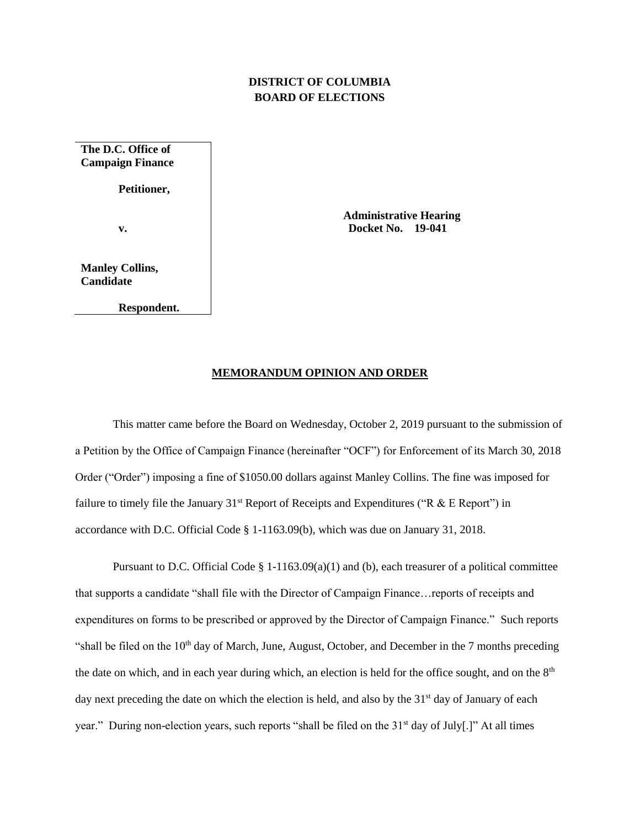## **DISTRICT OF COLUMBIA BOARD OF ELECTIONS**

**The D.C. Office of Campaign Finance**

**Petitioner,**

**v.**

**Manley Collins, Candidate**

**Respondent.**

 **Administrative Hearing Docket No. 19-041**

## **MEMORANDUM OPINION AND ORDER**

This matter came before the Board on Wednesday, October 2, 2019 pursuant to the submission of a Petition by the Office of Campaign Finance (hereinafter "OCF") for Enforcement of its March 30, 2018 Order ("Order") imposing a fine of \$1050.00 dollars against Manley Collins. The fine was imposed for failure to timely file the January 31<sup>st</sup> Report of Receipts and Expenditures ("R  $&E$  Report") in accordance with D.C. Official Code § 1-1163.09(b), which was due on January 31, 2018.

Pursuant to D.C. Official Code § 1-1163.09(a)(1) and (b), each treasurer of a political committee that supports a candidate "shall file with the Director of Campaign Finance…reports of receipts and expenditures on forms to be prescribed or approved by the Director of Campaign Finance." Such reports "shall be filed on the  $10<sup>th</sup>$  day of March, June, August, October, and December in the 7 months preceding the date on which, and in each year during which, an election is held for the office sought, and on the 8<sup>th</sup> day next preceding the date on which the election is held, and also by the  $31<sup>st</sup>$  day of January of each year." During non-election years, such reports "shall be filed on the 31<sup>st</sup> day of July[.]" At all times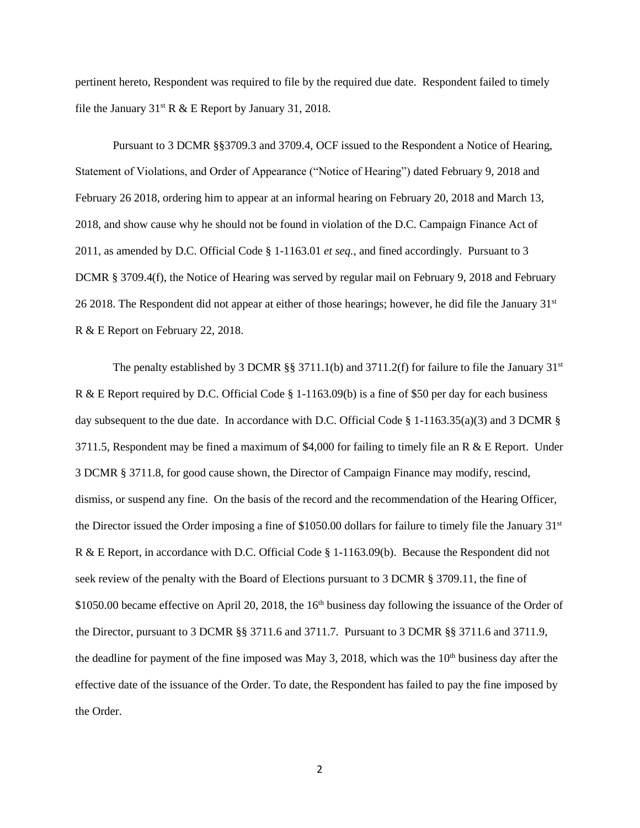pertinent hereto, Respondent was required to file by the required due date. Respondent failed to timely file the January  $31^{st}$  R & E Report by January 31, 2018.

Pursuant to 3 DCMR §§3709.3 and 3709.4, OCF issued to the Respondent a Notice of Hearing, Statement of Violations, and Order of Appearance ("Notice of Hearing") dated February 9, 2018 and February 26 2018, ordering him to appear at an informal hearing on February 20, 2018 and March 13, 2018, and show cause why he should not be found in violation of the D.C. Campaign Finance Act of 2011, as amended by D.C. Official Code § 1-1163.01 *et seq.*, and fined accordingly. Pursuant to 3 DCMR § 3709.4(f), the Notice of Hearing was served by regular mail on February 9, 2018 and February 26 2018. The Respondent did not appear at either of those hearings; however, he did file the January 31<sup>st</sup> R & E Report on February 22, 2018.

The penalty established by 3 DCMR §§ 3711.1(b) and 3711.2(f) for failure to file the January 31<sup>st</sup> R & E Report required by D.C. Official Code § 1-1163.09(b) is a fine of \$50 per day for each business day subsequent to the due date. In accordance with D.C. Official Code § 1-1163.35(a)(3) and 3 DCMR § 3711.5, Respondent may be fined a maximum of \$4,000 for failing to timely file an R  $\&$  E Report. Under 3 DCMR § 3711.8, for good cause shown, the Director of Campaign Finance may modify, rescind, dismiss, or suspend any fine. On the basis of the record and the recommendation of the Hearing Officer, the Director issued the Order imposing a fine of \$1050.00 dollars for failure to timely file the January  $31<sup>st</sup>$ R & E Report, in accordance with D.C. Official Code § 1-1163.09(b). Because the Respondent did not seek review of the penalty with the Board of Elections pursuant to 3 DCMR § 3709.11, the fine of \$1050.00 became effective on April 20, 2018, the 16<sup>th</sup> business day following the issuance of the Order of the Director, pursuant to 3 DCMR §§ 3711.6 and 3711.7. Pursuant to 3 DCMR §§ 3711.6 and 3711.9, the deadline for payment of the fine imposed was May 3, 2018, which was the  $10<sup>th</sup>$  business day after the effective date of the issuance of the Order. To date, the Respondent has failed to pay the fine imposed by the Order.

2